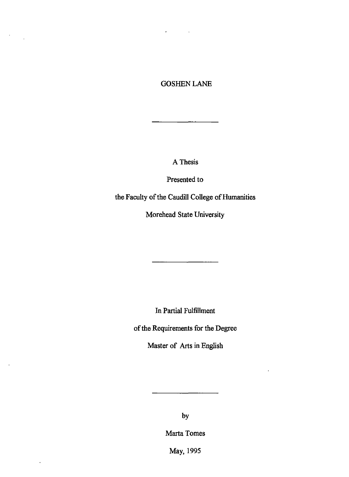# GOSHEN LANE

 $\sim 100$ 

k.

 $\sim 10^{-10}$ 

 $\cdot$ 

 $\blacksquare$ 

 $\ddot{\phantom{a}}$ 

A Thesis

Presented to

the Faculty of the Caudill College of Humanities

Morehead State University

In Partial Fulfillment

of the Requirements for the Degree

Master of Arts in English

by

Marta Tomes

May, 1995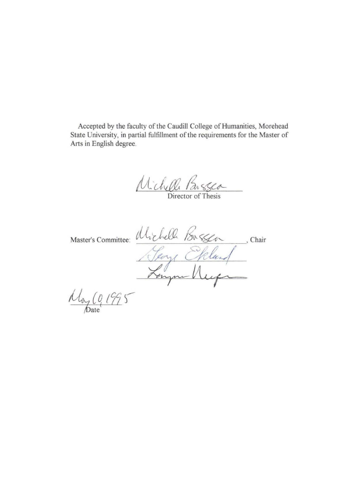Accepted by the faculty of the Caudill College of Humanities, Morehead State University, in partial fulfillment of the requirements for the Master of Arts in English degree.

U *chelle* Parssea

Master's Committee: Ulichell Busser , Chair Heory Ekland

 $mgql(17)$ ate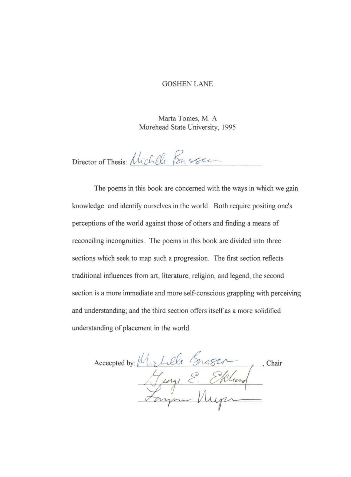#### GOSHEN LANE

Marta Tomes, M. A Morehead State University, 1995

Director of Thesis: Unchelle Ponsser

The poems in this book are concerned with the ways in which we gain knowledge and identify ourselves in the world. Both require positing one's perceptions of the world against those of others and finding a means of reconciling incongruities. The poems in this book are divided into three sections which seek to map such a progression. The first section reflects traditional influences from art, literature, religion, and legend; the second section is a more immediate and more self-conscious grappling with perceiving and understanding; and the third section offers itself as a more solidified understanding of placement in the world.

Accepted by: Michelle Bresch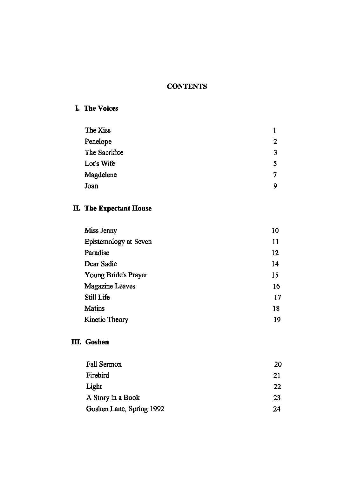# **CONTENTS**

# **L** The Voices

| The Kiss      |   |
|---------------|---|
| Penelope      | 2 |
| The Sacrifice | 3 |
| Lot's Wife    | 5 |
| Magdelene     |   |
| Joan          | 9 |

# **IL The Expectant House**

| Miss Jenny            | 10 |
|-----------------------|----|
| Epistemology at Seven | 11 |
| Paradise              | 12 |
| Dear Sadie            | 14 |
| Young Bride's Prayer  | 15 |
| Magazine Leaves       | 16 |
| <b>Still Life</b>     | 17 |
| <b>Matins</b>         | 18 |
| Kinetic Theory        | 19 |

# **m. Goshen**

| <b>Fall Sermon</b>       | 20 |
|--------------------------|----|
| Firebird                 | 21 |
| Light                    | 22 |
| A Story in a Book        | 23 |
| Goshen Lane, Spring 1992 | 24 |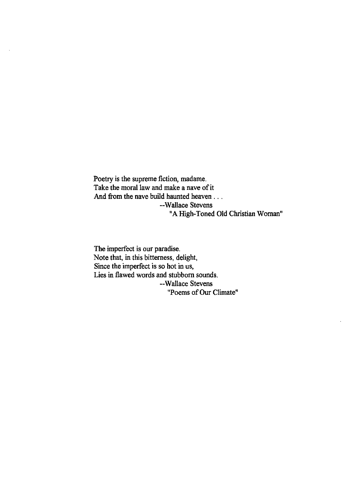Poetry is the supreme fiction, madame. Take the moral law and make a nave of it And from the nave build haunted heaven ... --Wallace Stevens "A High-Toned Old Christian Woman"

The imperfect is our paradise. Note that, in this bitterness, delight, Since the imperfect is so hot in us, Lies in flawed words and stubborn sounds. --Wallace Stevens "Poems of Our Climate"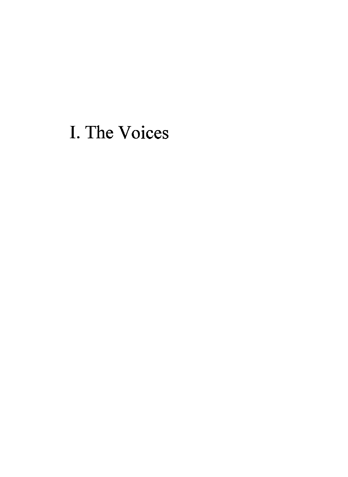# I. The Voices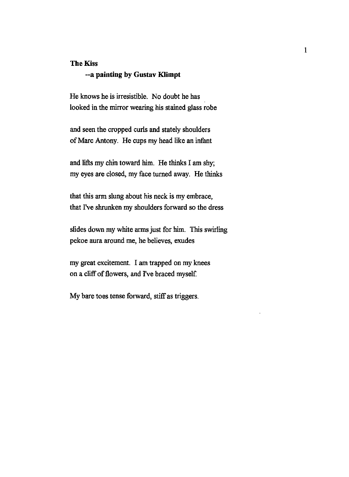#### The Kiss

# -- a painting by Gustav Klimpt

He knows he is irresistible. No doubt he has looked in the mirror wearing his stained glass robe

and seen the cropped curls and stately shoulders of Marc Antony. He cups my head like an infant

and lifts my chin toward him. He thinks I am shy; my eyes are closed, my face turned away. He thinks

that this arm slung about his neck is my embrace, that I've shrunken my shoulders forward so the dress

slides down my white arms just for him. This swirling pekoe aura around me, he believes, exudes

my great excitement. I am trapped on my knees on a cliff of flowers, and I've braced myself

My bare toes tense forward, stiff as triggers.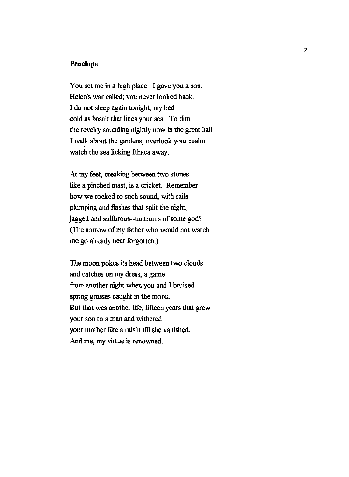## **Penelope**

You set me in a high place. I gave you a son. Helen's war called; you never looked back. I do not sleep again tonight, my bed cold as basalt that lines your sea. To dim the revelry sounding nightly now in the great hall I walk about the gardens, overlook your realm, watch the sea licking Ithaca away.

At my feet, creaking between two stones like a pinched mast, is a cricket. Remember how we rocked to such sound, with sails plumping and flashes that split the night, jagged and sulfurous--tantrums of some god? (The sorrow of my father who would not watch me go already near forgotten.)

The moon pokes its head between two clouds and catches on my dress, a game from another night when you and I bruised spring grasses caught in the moon. But that was another life, fifteen years that grew your son to a man and withered your mother like a raisin till she vanished. And me, my virtue is renowned.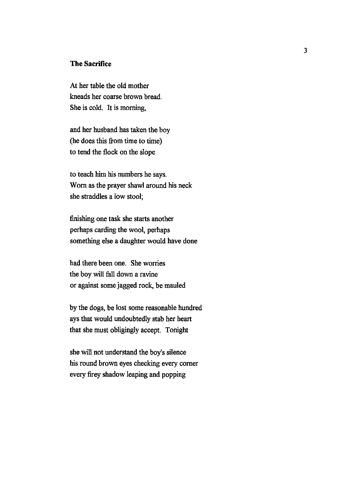# **The Sacrifice**

At her table the old mother kneads her coarse brown bread. She is cold. It is morning,

and her husband has taken the boy (he does this from time to time) to tend the flock on the slope

to teach him his numbers he says. Worn as the prayer shawl around his neck she straddles a low stool;

finishing one task she starts another perhaps carding the wool, perhaps something else a daughter would have done

had there been one. She worries the boy will fall down a ravine or against some jagged rock, be mauled

by the dogs, be lost some reasonable hundred ays that would undoubtedly stab her heart that she must obligingly accept. Tonight

she will not understand the boy's silence his round brown eyes checking every comer every firey shadow leaping and popping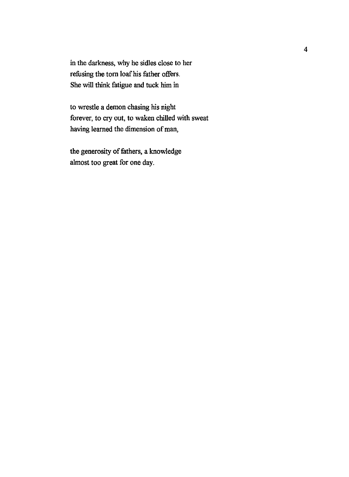in the darkness, why he sidles close to her refusing the torn loaf his father offers. She will think fatigue and tuck him in

to wrestle a demon chasing his night forever, to cry out, to waken chilled with sweat having learned the dimension of man,

the generosity of fathers, a knowledge almost too great for one day.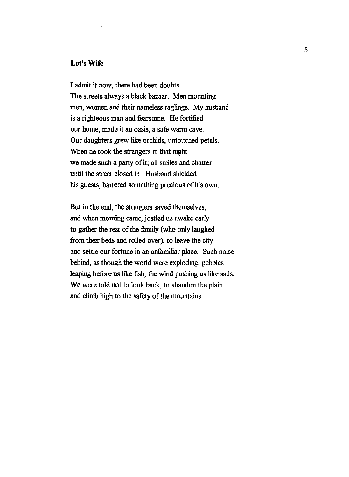## Lot's **Wife**

I admit it now, there had been doubts. The streets always a black bazaar. Men mounting men, women and their nameless raglings. My husband is a righteous man and fearsome. He fortified our home, made it an oasis, a safe warm cave. Our daughters grew like orchids, untouched petals. When he took the strangers in that night we made such a party of it; all smiles and chatter until the street closed in. Husband shielded his guests, bartered something precious of his own.

But in the end, the strangers saved themselves, and when morning came, jostled us awake early to gather the rest of the family (who only laughed from their beds and rolled over), to leave the city and settle our fortune in an unfamiliar place. Such noise behind, as though the world were exploding, pebbles leaping before us like fish, the wind pushing us like sails. We were told not to look back, to abandon the plain and climb high to the safety of the mountains.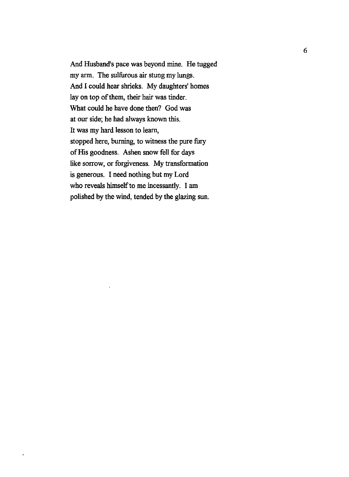And Husband's pace was beyond mine. He tugged my arm. The sulfurous air stung my lungs. And I could hear shrieks. My daughters' homes lay on top of them, their hair was tinder. What could he have done then? God was at our side; he had always known this. It was my hard lesson to learn, stopped here, burning, to witness the pure fury of His goodness. Ashen snow fell for days like sorrow, or forgiveness. My transformation is generous. I need nothing but my Lord who reveals himself to me incessantly. I am polished by the wind, tended by the glazing sun.

 $\bar{\phantom{a}}$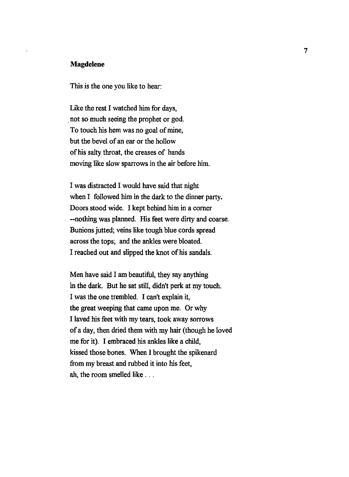#### **Magdelene**

This is the one you like to hear:

Like the rest I watched him for days, . not so much seeing the prophet or god. To touch his hem was no goal of mine, but the bevel of an ear or the hollow of his salty throat, the creases of hands moving like slow sparrows in the air before him.

I was distracted I would have said that night when I followed him in the dark to the dinner party. Doors stood wide. I kept behind him in a corner --nothing was planned. His feet were dirty and coarse. Bunions jutted; veins like tough blue cords spread across the tops; and the ankles were bloated. I reached out and slipped the knot of his sandals.

Men have said I am beautiful, they say anything in the dark. But he sat still, didn't perk at my touch. I was the one trembled. I can't explain it, the great weeping that came upon me. Or why I laved his feet with my tears, took away sorrows ofa day, then dried them with my hair (though he loved me for it). I embraced his ankles like a child, kissed those bones. When I brought the spikenard from my breast and rubbed it into his feet, ah, the room smelled like . . .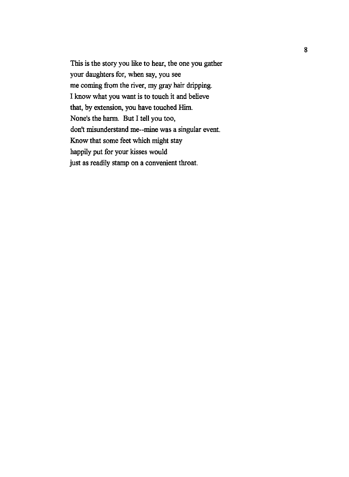This is the story you like to hear, the one you gather your daughters for, when say, you see me coming from the river, my gray hair dripping. I know what you want is to touch it and believe that, by extension, you have touched Him. None's the harm. But I tell you too, don't misunderstand me--mine was a singular event. Know that some feet which might stay happily put for your kisses would just as readily stamp on a convenient throat.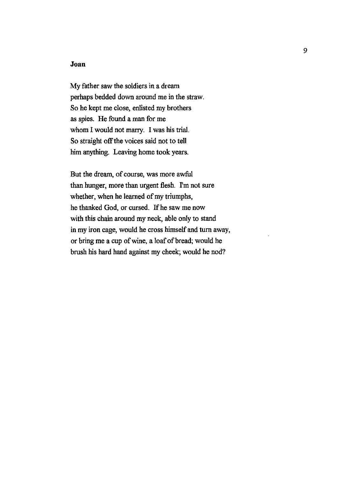## **Joan**

My father saw the soldiers in a dream perhaps bedded down around me in the straw. So he kept me close, enlisted my brothers as spies. He found a man for me whom I would not marry. I was his trial. So straight off the voices said not to tell him anything. Leaving home took years.

But the dream, of course, was more awful than hunger, more than urgent flesh. I'm not sure whether, when he learned of my triumphs, he thanked God, or cursed. If he saw me now with this chain around my neck, able only to stand in my iron cage, would he cross himself and turn away, or bring me a cup of wine, a loaf of bread; would he brush his hard hand against my cheek; would he nod?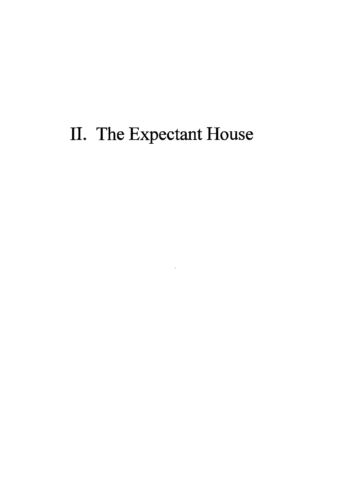# II. The Expectant House

 $\ddot{\phantom{0}}$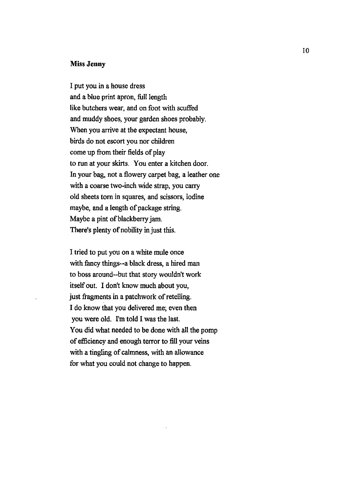### **Miss Jenny**

I put you in a house dress and a blue print apron, full length like butchers wear, and on foot with scuffed and muddy shoes, your garden shoes probably. When you arrive at the expectant house, birds do not escort you nor children come up from their fields of play to run at your skirts. You enter a kitchen door. In your bag, not a flowery carpet bag, a leather one with a coarse two-inch wide strap, you carry old sheets tom in squares, and scissors, iodine maybe, and a length of package string. Maybe a pint of blackberry jam. There's plenty of nobility in just this.

I tried to put you on a white mule once with fancy things--a black dress, a hired man to boss around--but that story wouldn't work itself out. I don't know much about you, just fragments in a patchwork of retelling. I do know that you delivered me; even then you were old. I'm told I was the last. You did what needed to be done with all the pomp of efficiency and enough terror to fill your veins with a tingling of calmness, with an allowance for what you could not change to happen.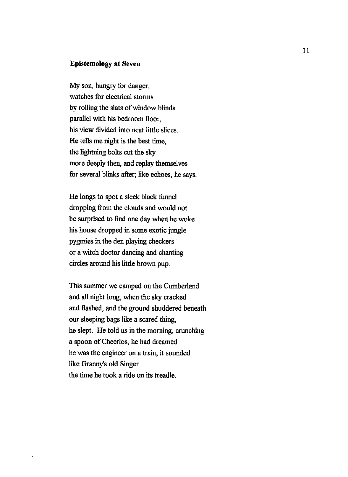#### Epistemology at Seven

My son, hungry for danger, watches for electrical storms by rolling the slats of window blinds parallel with his bedroom floor, his view divided into neat little slices. He tells me night is the best time, the lightning bolts cut the sky more deeply then, and replay themselves for several blinks after; like echoes, he says.

He longs to spot a sleek black funnel dropping from the clouds and would not be surprised to find one day when he woke his house dropped in some exotic jungle pygmies in the den playing checkers or a witch doctor dancing and chanting circles around his little brown pup.

This summer we camped on the Cumberland and all night Jong, when the sky cracked and flashed, and the ground shuddered beneath our sleeping bags like a scared thing, he slept. He told us in the morning, crunching a spoon of Cheerios, he had dreamed he was the engineer on a train; it sounded like Granny's old Singer the time he took a ride on its treadle.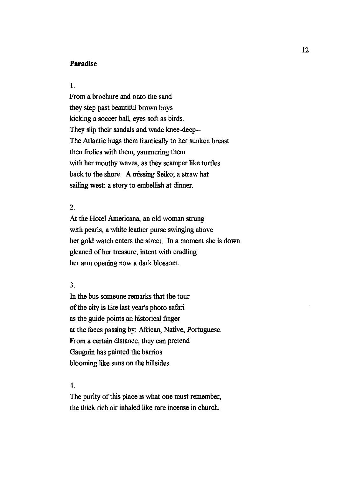### **Paradise**

### I.

From a brochure and onto the sand they step past beautiful brown boys kicking a soccer ball, eyes soft as birds. They slip their sandals and wade knee-deep-- The Atlantic hugs them frantically to her sunken breast then frolics with them, yammering them with her mouthy waves, as they scamper like turtles back to the shore. A missing Seiko; a straw hat sailing west: a story to embellish at dinner.

# 2.

At the Hotel Americana, an old woman strung with pearls, a white leather purse swinging above her gold watch enters the street. In a moment she is down gleaned of her treasure, intent with cradling her arm opening now a dark blossom.

#### 3.

In the bus someone remarks that the tour of the city is like last year's photo safari as the guide points an historical finger at the faces passing by: African, Native, Portuguese. From a certain distance, they can pretend Gauguin has painted the barrios blooming like suns on the hillsides.

#### 4.

The purity of this place is what one must remember, the thick rich air inhaled like rare incense in church.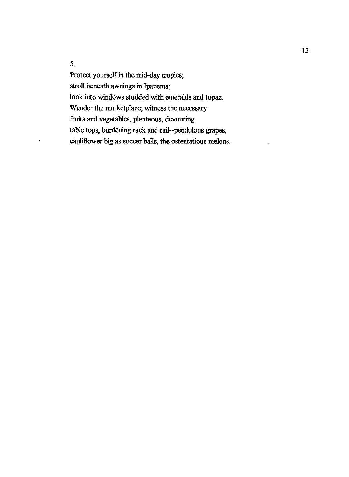5.

Protect yourself in the mid-day tropics; stroll beneath awnings in lpanema; look into windows studded with emeralds and topaz. Wander the marketplace; witness the necessary fruits and vegetables, plenteous, devouring table tops, burdening rack and rail--pendulous grapes, cauliflower big as soccer balls, the ostentatious melons.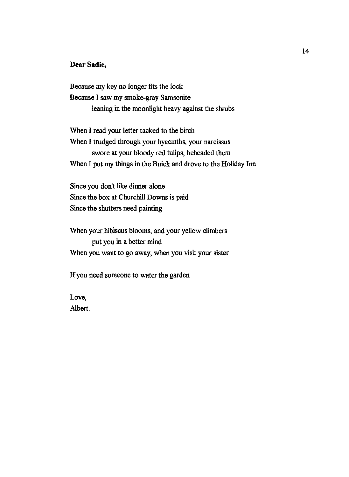## **Dear Sadie,**

Because my key no longer fits the lock Because I saw my smoke-gray Samsonite leaning in the moonlight heavy against the shrubs

When I read your letter tacked to the birch When I trudged through your hyacinths, your narcissus swore at your bloody red tulips, beheaded them When I put my things in the Buick and drove to the Holiday Inn

Since you don't like dinner alone Since the box at Churchill Downs is paid Since the shutters need painting

When your hibiscus blooms, and your yellow climbers put you in a better mind When you want to go away, when you visit your sister

If you need someone to water the garden

Love, Albert.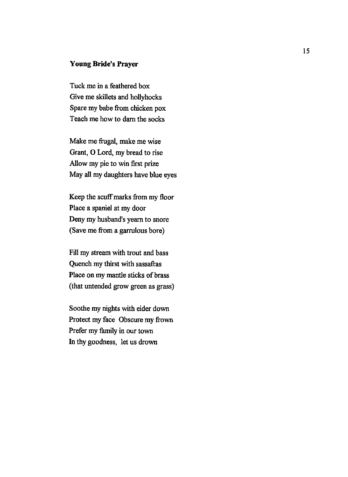# **Young Bride's Prayer**

Tuck me in a feathered box Give me skillets and hollyhocks Spare my babe from chicken pox Teach me how to darn the socks

Make me frugal, make me wise Grant, 0 Lord, my bread to rise Allow my pie to win first prize May all my daughters have blue eyes

Keep the scuff marks from my floor Place a spaniel at my door Deny my husband's yearn to snore (Save me from a garrulous bore)

Fill my stream with trout and bass Quench my thirst with sassafras Place on my mantle sticks of brass (that untended grow green as grass)

Soothe my nights with eider down Protect my face Obscure my frown Prefer my family in our town In thy goodness, let us drown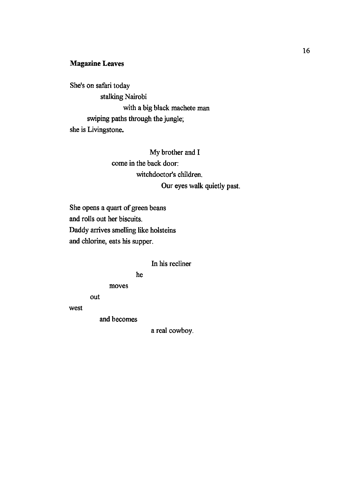# Magazine Leaves

She's on safari today stalking Nairobi with a big black machete man swiping paths through the jungle; she is Livingstone.

> My brother and I come in the back door: witchdoctor's children. Our eyes walk quietly past.

She opens a quart of green beans and rolls out her biscuits. Daddy arrives smelling like holsteins and chlorine, eats his supper.

## In his recliner

#### he

moves

out

west

and becomes

a real cowboy.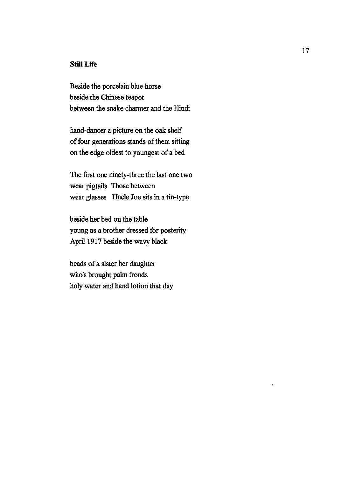# **Still Life**

Beside the porcelain blue horse beside the Chinese teapot between the snake charmer and the Hindi

hand-dancer a picture on the oak shelf of four generations stands of them sitting on the edge oldest to youngest of a bed

The first one ninety-three the last one two wear pigtails Those between wear glasses Uncle Joe sits in a tin-type

beside her bed on the table young as a brother dressed for posterity April 1917 beside the wavy black

beads of a sister her daughter who's brought palm fronds holy water and hand lotion that day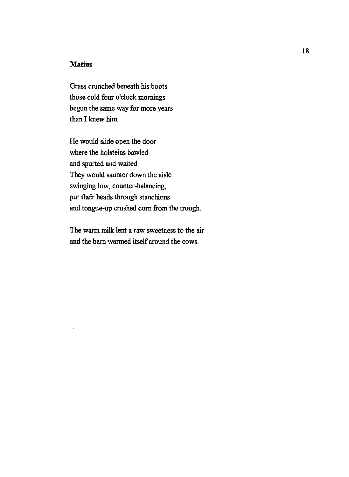# **Matins**

 $\overline{1}$ 

Grass crunched beneath his boots those cold four o'clock mornings begun the same way for more years than I knew him.

He would slide open the door where the holsteins bawled and spurted and waited. They would saunter down the aisle swinging low, counter-balancing, put their heads through stanchions and tongue-up crushed corn from the trough.

The warm milk lent a raw sweetness to the air and the barn warmed itself around the cows.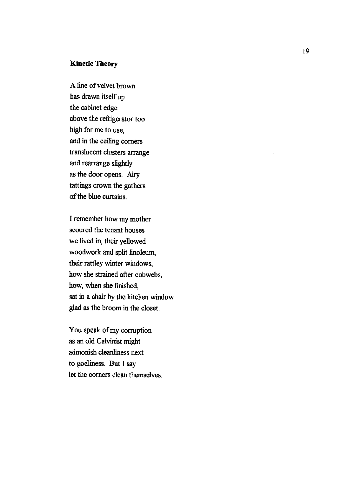# **Kinetic Theory**

A line of velvet brown has drawn itself up the cabinet edge above the refrigerator too high for me to use, and in the ceiling corners translucent clusters arrange and rearrange slightly as the door opens. Airy tattings crown the gathers of the blue curtains.

I remember how my mother scoured the tenant houses we lived in, their yellowed woodwork and split linoleum, their rattley winter windows, how she strained after cobwebs, how, when she finished, sat in a chair by the kitchen window glad as the broom in the closet.

You speak of my corruption as an old Calvinist might admonish cleanliness next to godliness. But I say let the corners clean themselves.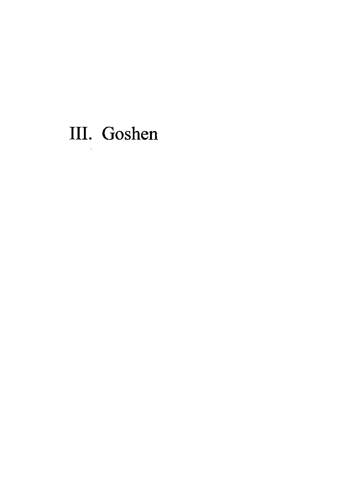# III. Goshen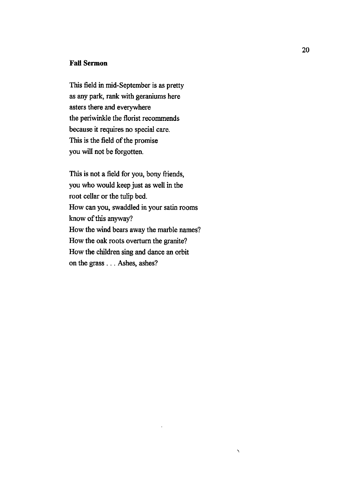## **Fall Sermon**

This field in mid-September is as pretty as any park, rank with geraniums here asters there and everywhere the periwinkle the florist recommends because it requires no special care. This is the field of the promise you will not be forgotten.

This is not a field for you, bony friends, you who would keep just as well in the root cellar or the tulip bed. How can you, swaddled in your satin rooms know of this anyway? How the wind bears away the marble names? How the oak roots overturn the granite? How the children sing and dance an orbit on the grass . . . Ashes, ashes?

 $\checkmark$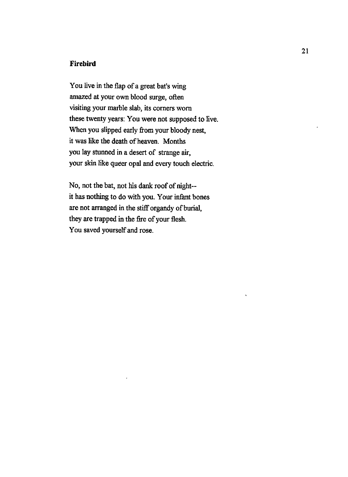# **Firebird**

You live in the flap of a great bat's wing amazed at your own blood surge, often visiting your marble slab, its corners worn these twenty years: You were not supposed to live. When you slipped early from your bloody nest, it was like the death of heaven. Months you lay stunned in a desert of strange air, your skin like queer opal and every touch electric.

No, not the bat, not his dank roof of night- it has nothing to do with you. Your infant bones are not arranged in the stiff organdy of burial, they are trapped in the fire of your flesh. You saved yourself and rose.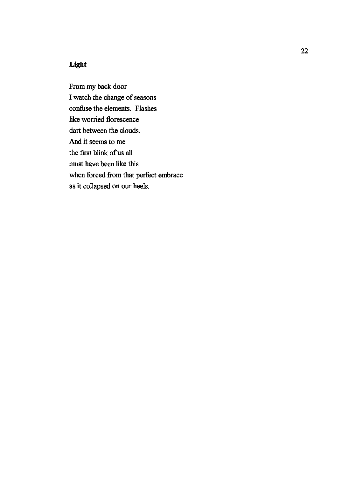# **Light**

From my back door I watch the change of seasons confuse the elements. Flashes like worried florescence dart between the clouds. And it seems to me the first blink of us all must have been like this when forced from that perfect embrace as it collapsed on our heels.

 $\bar{z}$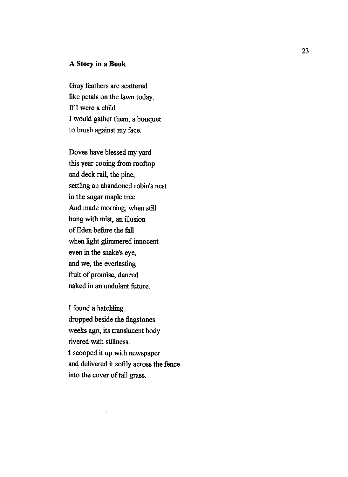## **A Story in a Book**

Gray feathers are scattered like petals on the lawn today. If I were a child I would gather them, a bouquet to brush against my face.

Doves have blessed my yard this year cooing from rooftop and deck rail, the pine, settling an abandoned robin's nest in the sugar maple tree. And made morning, when still hung with mist, an illusion of Eden before the fall when light glimmered innocent even in the snake's eye, and we, the everlasting fruit of promise, danced naked in an undulant future.

I found a hatchling dropped beside the flagstones weeks ago, its translucent body rivered with stillness. I scooped it up with newspaper and delivered it softly across the fence into the cover of tall grass.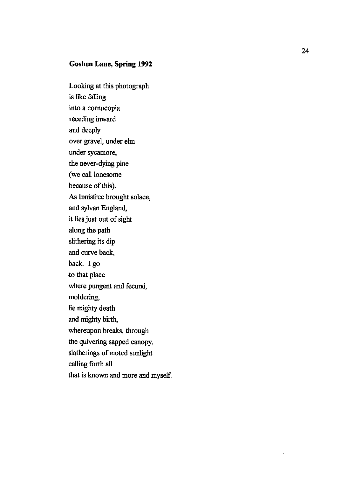# **Goshen Lane, Spring 1992**

Looking at this photograph is like falling into a cornucopia receding inward and deeply over gravel, under ehn under sycamore, the never-dying pine (we call lonesome because of this). As Innisfree brought solace, and sylvan England, it lies just out of sight along the path slithering its dip and curve back, back. I go to that place where pungent and fecund, moldering, lie mighty death and mighty birth, whereupon breaks, through the quivering sapped canopy, slatherings of moted sunlight calling forth all that is known and more and myself